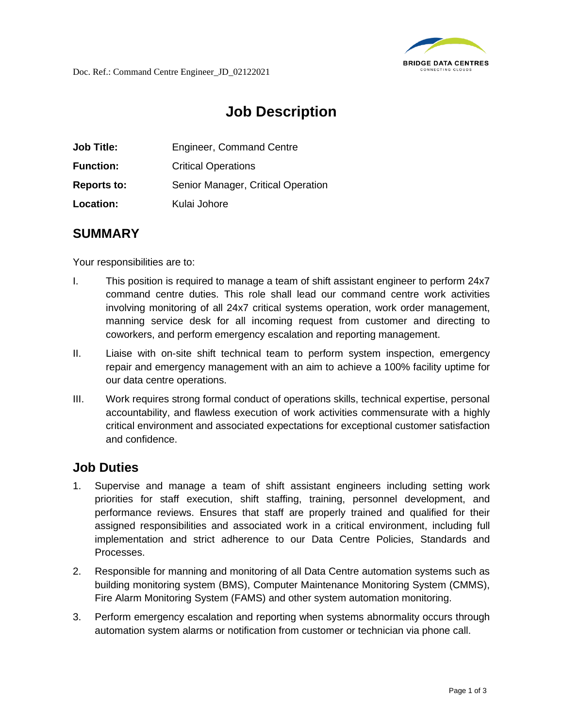

## **Job Description**

| <b>Job Title:</b>  | <b>Engineer, Command Centre</b>    |
|--------------------|------------------------------------|
| <b>Function:</b>   | <b>Critical Operations</b>         |
| <b>Reports to:</b> | Senior Manager, Critical Operation |
| Location:          | Kulai Johore                       |

## **SUMMARY**

Your responsibilities are to:

- I. This position is required to manage a team of shift assistant engineer to perform 24x7 command centre duties. This role shall lead our command centre work activities involving monitoring of all 24x7 critical systems operation, work order management, manning service desk for all incoming request from customer and directing to coworkers, and perform emergency escalation and reporting management.
- II. Liaise with on-site shift technical team to perform system inspection, emergency repair and emergency management with an aim to achieve a 100% facility uptime for our data centre operations.
- III. Work requires strong formal conduct of operations skills, technical expertise, personal accountability, and flawless execution of work activities commensurate with a highly critical environment and associated expectations for exceptional customer satisfaction and confidence.

## **Job Duties**

- 1. Supervise and manage a team of shift assistant engineers including setting work priorities for staff execution, shift staffing, training, personnel development, and performance reviews. Ensures that staff are properly trained and qualified for their assigned responsibilities and associated work in a critical environment, including full implementation and strict adherence to our Data Centre Policies, Standards and Processes.
- 2. Responsible for manning and monitoring of all Data Centre automation systems such as building monitoring system (BMS), Computer Maintenance Monitoring System (CMMS), Fire Alarm Monitoring System (FAMS) and other system automation monitoring.
- 3. Perform emergency escalation and reporting when systems abnormality occurs through automation system alarms or notification from customer or technician via phone call.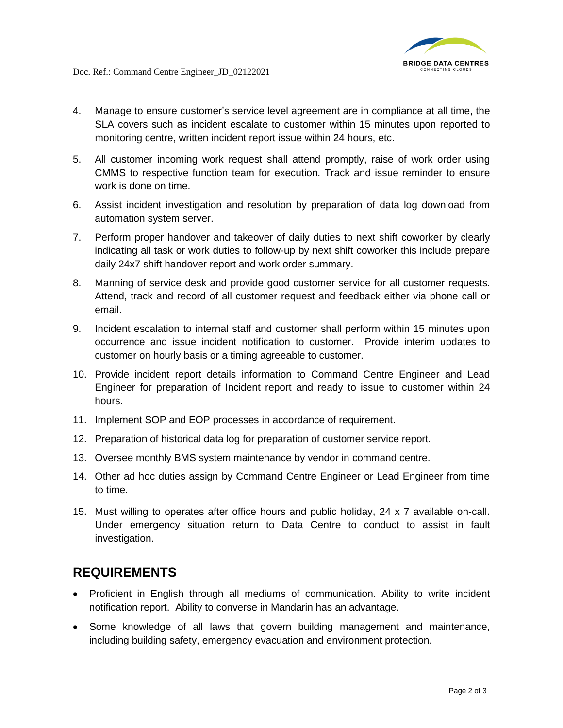

- 4. Manage to ensure customer's service level agreement are in compliance at all time, the SLA covers such as incident escalate to customer within 15 minutes upon reported to monitoring centre, written incident report issue within 24 hours, etc.
- 5. All customer incoming work request shall attend promptly, raise of work order using CMMS to respective function team for execution. Track and issue reminder to ensure work is done on time.
- 6. Assist incident investigation and resolution by preparation of data log download from automation system server.
- 7. Perform proper handover and takeover of daily duties to next shift coworker by clearly indicating all task or work duties to follow-up by next shift coworker this include prepare daily 24x7 shift handover report and work order summary.
- 8. Manning of service desk and provide good customer service for all customer requests. Attend, track and record of all customer request and feedback either via phone call or email.
- 9. Incident escalation to internal staff and customer shall perform within 15 minutes upon occurrence and issue incident notification to customer. Provide interim updates to customer on hourly basis or a timing agreeable to customer.
- 10. Provide incident report details information to Command Centre Engineer and Lead Engineer for preparation of Incident report and ready to issue to customer within 24 hours.
- 11. Implement SOP and EOP processes in accordance of requirement.
- 12. Preparation of historical data log for preparation of customer service report.
- 13. Oversee monthly BMS system maintenance by vendor in command centre.
- 14. Other ad hoc duties assign by Command Centre Engineer or Lead Engineer from time to time.
- 15. Must willing to operates after office hours and public holiday, 24 x 7 available on-call. Under emergency situation return to Data Centre to conduct to assist in fault investigation.

## **REQUIREMENTS**

- Proficient in English through all mediums of communication. Ability to write incident notification report. Ability to converse in Mandarin has an advantage.
- Some knowledge of all laws that govern building management and maintenance, including building safety, emergency evacuation and environment protection.